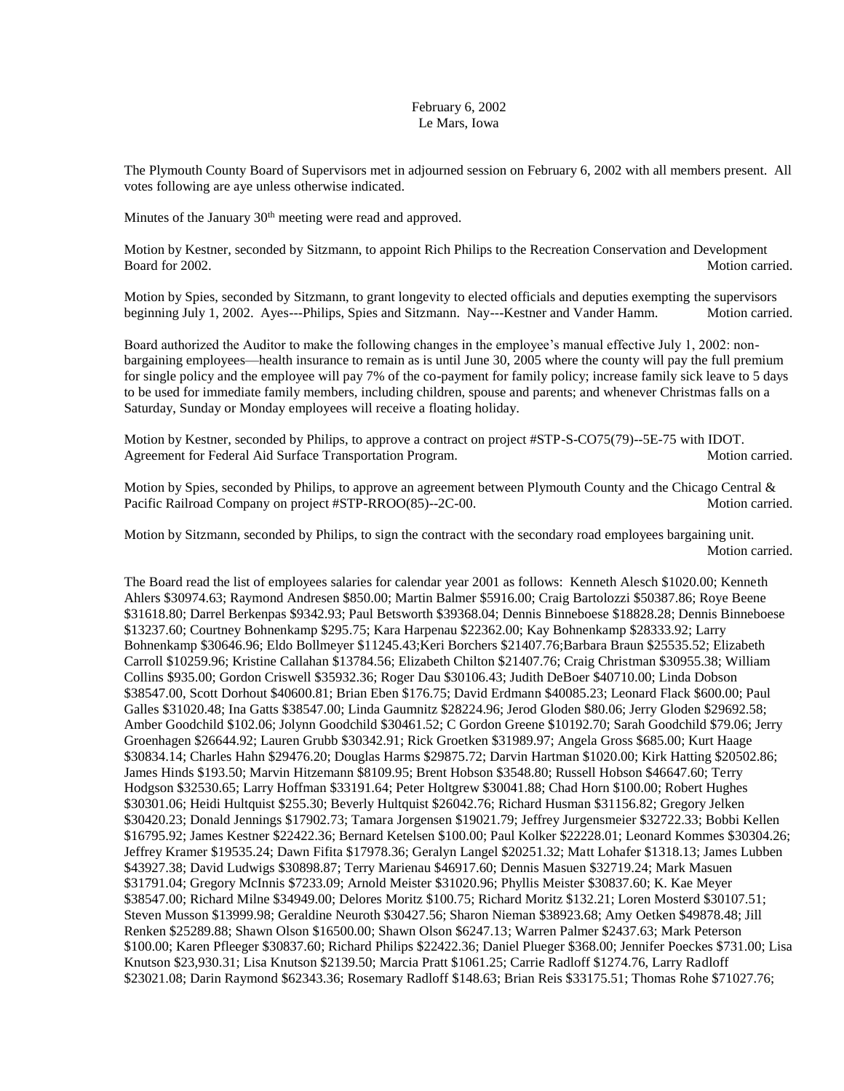## February 6, 2002 Le Mars, Iowa

The Plymouth County Board of Supervisors met in adjourned session on February 6, 2002 with all members present. All votes following are aye unless otherwise indicated.

Minutes of the January  $30<sup>th</sup>$  meeting were read and approved.

Motion by Kestner, seconded by Sitzmann, to appoint Rich Philips to the Recreation Conservation and Development Board for 2002. Motion carried.

Motion by Spies, seconded by Sitzmann, to grant longevity to elected officials and deputies exempting the supervisors beginning July 1, 2002. Ayes---Philips, Spies and Sitzmann. Nay---Kestner and Vander Hamm. Motion carried.

Board authorized the Auditor to make the following changes in the employee's manual effective July 1, 2002: nonbargaining employees—health insurance to remain as is until June 30, 2005 where the county will pay the full premium for single policy and the employee will pay 7% of the co-payment for family policy; increase family sick leave to 5 days to be used for immediate family members, including children, spouse and parents; and whenever Christmas falls on a Saturday, Sunday or Monday employees will receive a floating holiday.

Motion by Kestner, seconded by Philips, to approve a contract on project #STP-S-CO75(79)--5E-75 with IDOT. Agreement for Federal Aid Surface Transportation Program. Motion carried.

Motion by Spies, seconded by Philips, to approve an agreement between Plymouth County and the Chicago Central & Pacific Railroad Company on project #STP-RROO(85)--2C-00. Motion carried.

Motion by Sitzmann, seconded by Philips, to sign the contract with the secondary road employees bargaining unit. Motion carried.

The Board read the list of employees salaries for calendar year 2001 as follows: Kenneth Alesch \$1020.00; Kenneth Ahlers \$30974.63; Raymond Andresen \$850.00; Martin Balmer \$5916.00; Craig Bartolozzi \$50387.86; Roye Beene \$31618.80; Darrel Berkenpas \$9342.93; Paul Betsworth \$39368.04; Dennis Binneboese \$18828.28; Dennis Binneboese \$13237.60; Courtney Bohnenkamp \$295.75; Kara Harpenau \$22362.00; Kay Bohnenkamp \$28333.92; Larry Bohnenkamp \$30646.96; Eldo Bollmeyer \$11245.43;Keri Borchers \$21407.76;Barbara Braun \$25535.52; Elizabeth Carroll \$10259.96; Kristine Callahan \$13784.56; Elizabeth Chilton \$21407.76; Craig Christman \$30955.38; William Collins \$935.00; Gordon Criswell \$35932.36; Roger Dau \$30106.43; Judith DeBoer \$40710.00; Linda Dobson \$38547.00, Scott Dorhout \$40600.81; Brian Eben \$176.75; David Erdmann \$40085.23; Leonard Flack \$600.00; Paul Galles \$31020.48; Ina Gatts \$38547.00; Linda Gaumnitz \$28224.96; Jerod Gloden \$80.06; Jerry Gloden \$29692.58; Amber Goodchild \$102.06; Jolynn Goodchild \$30461.52; C Gordon Greene \$10192.70; Sarah Goodchild \$79.06; Jerry Groenhagen \$26644.92; Lauren Grubb \$30342.91; Rick Groetken \$31989.97; Angela Gross \$685.00; Kurt Haage \$30834.14; Charles Hahn \$29476.20; Douglas Harms \$29875.72; Darvin Hartman \$1020.00; Kirk Hatting \$20502.86; James Hinds \$193.50; Marvin Hitzemann \$8109.95; Brent Hobson \$3548.80; Russell Hobson \$46647.60; Terry Hodgson \$32530.65; Larry Hoffman \$33191.64; Peter Holtgrew \$30041.88; Chad Horn \$100.00; Robert Hughes \$30301.06; Heidi Hultquist \$255.30; Beverly Hultquist \$26042.76; Richard Husman \$31156.82; Gregory Jelken \$30420.23; Donald Jennings \$17902.73; Tamara Jorgensen \$19021.79; Jeffrey Jurgensmeier \$32722.33; Bobbi Kellen \$16795.92; James Kestner \$22422.36; Bernard Ketelsen \$100.00; Paul Kolker \$22228.01; Leonard Kommes \$30304.26; Jeffrey Kramer \$19535.24; Dawn Fifita \$17978.36; Geralyn Langel \$20251.32; Matt Lohafer \$1318.13; James Lubben \$43927.38; David Ludwigs \$30898.87; Terry Marienau \$46917.60; Dennis Masuen \$32719.24; Mark Masuen \$31791.04; Gregory McInnis \$7233.09; Arnold Meister \$31020.96; Phyllis Meister \$30837.60; K. Kae Meyer \$38547.00; Richard Milne \$34949.00; Delores Moritz \$100.75; Richard Moritz \$132.21; Loren Mosterd \$30107.51; Steven Musson \$13999.98; Geraldine Neuroth \$30427.56; Sharon Nieman \$38923.68; Amy Oetken \$49878.48; Jill Renken \$25289.88; Shawn Olson \$16500.00; Shawn Olson \$6247.13; Warren Palmer \$2437.63; Mark Peterson \$100.00; Karen Pfleeger \$30837.60; Richard Philips \$22422.36; Daniel Plueger \$368.00; Jennifer Poeckes \$731.00; Lisa Knutson \$23,930.31; Lisa Knutson \$2139.50; Marcia Pratt \$1061.25; Carrie Radloff \$1274.76, Larry Radloff \$23021.08; Darin Raymond \$62343.36; Rosemary Radloff \$148.63; Brian Reis \$33175.51; Thomas Rohe \$71027.76;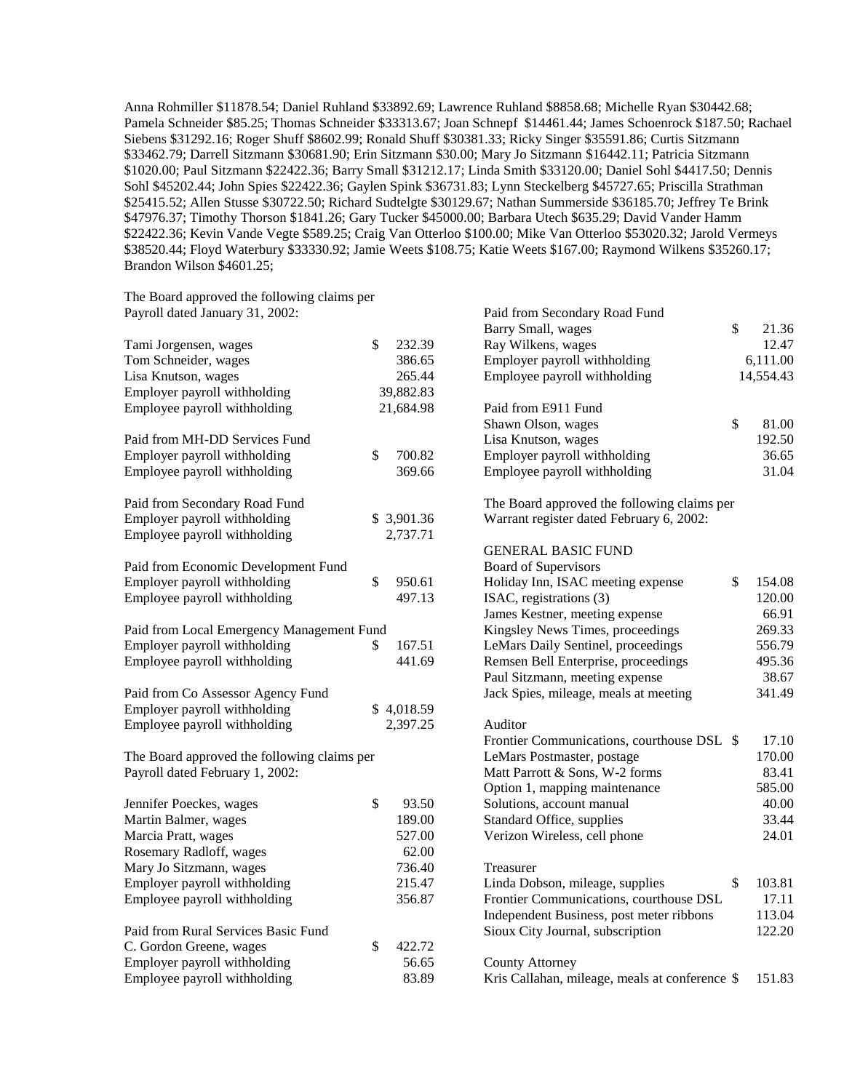Anna Rohmiller \$11878.54; Daniel Ruhland \$33892.69; Lawrence Ruhland \$8858.68; Michelle Ryan \$30442.68; Pamela Schneider \$85.25; Thomas Schneider \$33313.67; Joan Schnepf \$14461.44; James Schoenrock \$187.50; Rachael Siebens \$31292.16; Roger Shuff \$8602.99; Ronald Shuff \$30381.33; Ricky Singer \$35591.86; Curtis Sitzmann \$33462.79; Darrell Sitzmann \$30681.90; Erin Sitzmann \$30.00; Mary Jo Sitzmann \$16442.11; Patricia Sitzmann \$1020.00; Paul Sitzmann \$22422.36; Barry Small \$31212.17; Linda Smith \$33120.00; Daniel Sohl \$4417.50; Dennis Sohl \$45202.44; John Spies \$22422.36; Gaylen Spink \$36731.83; Lynn Steckelberg \$45727.65; Priscilla Strathman \$25415.52; Allen Stusse \$30722.50; Richard Sudtelgte \$30129.67; Nathan Summerside \$36185.70; Jeffrey Te Brink \$47976.37; Timothy Thorson \$1841.26; Gary Tucker \$45000.00; Barbara Utech \$635.29; David Vander Hamm \$22422.36; Kevin Vande Vegte \$589.25; Craig Van Otterloo \$100.00; Mike Van Otterloo \$53020.32; Jarold Vermeys \$38520.44; Floyd Waterbury \$33330.92; Jamie Weets \$108.75; Katie Weets \$167.00; Raymond Wilkens \$35260.17; Brandon Wilson \$4601.25;

The Board approved the following claims per Payroll dated January 31, 2002:

| Tami Jorgensen, wages                       | \$<br>232.39 |
|---------------------------------------------|--------------|
| Tom Schneider, wages                        | 386.65       |
| Lisa Knutson, wages                         | 265.44       |
| Employer payroll withholding                | 39,882.83    |
| Employee payroll withholding                | 21,684.98    |
| Paid from MH-DD Services Fund               |              |
| Employer payroll withholding                | \$<br>700.82 |
| Employee payroll withholding                | 369.66       |
| Paid from Secondary Road Fund               |              |
| Employer payroll withholding                | \$3,901.36   |
| Employee payroll withholding                | 2,737.71     |
| Paid from Economic Development Fund         |              |
| Employer payroll withholding                | \$<br>950.61 |
| Employee payroll withholding                | 497.13       |
| Paid from Local Emergency Management Fund   |              |
| Employer payroll withholding                | \$<br>167.51 |
| Employee payroll withholding                | 441.69       |
| Paid from Co Assessor Agency Fund           |              |
| Employer payroll withholding                | \$4,018.59   |
| Employee payroll withholding                | 2,397.25     |
| The Board approved the following claims per |              |
| Payroll dated February 1, 2002:             |              |
| Jennifer Poeckes, wages                     | \$<br>93.50  |
| Martin Balmer, wages                        | 189.00       |
| Marcia Pratt, wages                         | 527.00       |
| Rosemary Radloff, wages                     | 62.00        |
| Mary Jo Sitzmann, wages                     | 736.40       |
| Employer payroll withholding                | 215.47       |
| Employee payroll withholding                | 356.87       |
| Paid from Rural Services Basic Fund         |              |
| C. Gordon Greene, wages                     | \$<br>422.72 |
| Employer payroll withholding                | 56.65        |
| Employee payroll withholding                | 83.89        |

| Paid from Secondary Road Fund<br>Barry Small, wages                                     | \$<br>21.36  |
|-----------------------------------------------------------------------------------------|--------------|
| Ray Wilkens, wages                                                                      | 12.47        |
| Employer payroll withholding                                                            | 6,111.00     |
| Employee payroll withholding                                                            | 14,554.43    |
|                                                                                         |              |
| Paid from E911 Fund                                                                     |              |
| Shawn Olson, wages                                                                      | \$<br>81.00  |
| Lisa Knutson, wages                                                                     | 192.50       |
| Employer payroll withholding                                                            | 36.65        |
| Employee payroll withholding                                                            | 31.04        |
| The Board approved the following claims per<br>Warrant register dated February 6, 2002: |              |
| <b>GENERAL BASIC FUND</b>                                                               |              |
| <b>Board of Supervisors</b>                                                             |              |
| Holiday Inn, ISAC meeting expense                                                       | \$<br>154.08 |
| ISAC, registrations (3)                                                                 | 120.00       |
| James Kestner, meeting expense                                                          | 66.91        |
| Kingsley News Times, proceedings                                                        | 269.33       |
| LeMars Daily Sentinel, proceedings                                                      | 556.79       |
| Remsen Bell Enterprise, proceedings                                                     | 495.36       |
| Paul Sitzmann, meeting expense                                                          | 38.67        |
| Jack Spies, mileage, meals at meeting                                                   | 341.49       |
| Auditor                                                                                 |              |
| Frontier Communications, courthouse DSL \$                                              | 17.10        |
| LeMars Postmaster, postage                                                              | 170.00       |
| Matt Parrott & Sons, W-2 forms                                                          | 83.41        |
| Option 1, mapping maintenance                                                           | 585.00       |
| Solutions, account manual                                                               | 40.00        |
| Standard Office, supplies                                                               | 33.44        |
| Verizon Wireless, cell phone                                                            | 24.01        |
| Treasurer                                                                               |              |
| Linda Dobson, mileage, supplies                                                         | \$<br>103.81 |
| Frontier Communications, courthouse DSL                                                 | 17.11        |
| Independent Business, post meter ribbons                                                | 113.04       |
| Sioux City Journal, subscription                                                        | 122.20       |
|                                                                                         |              |
| <b>County Attorney</b>                                                                  |              |
| Kris Callahan, mileage, meals at conference \$                                          | 151.83       |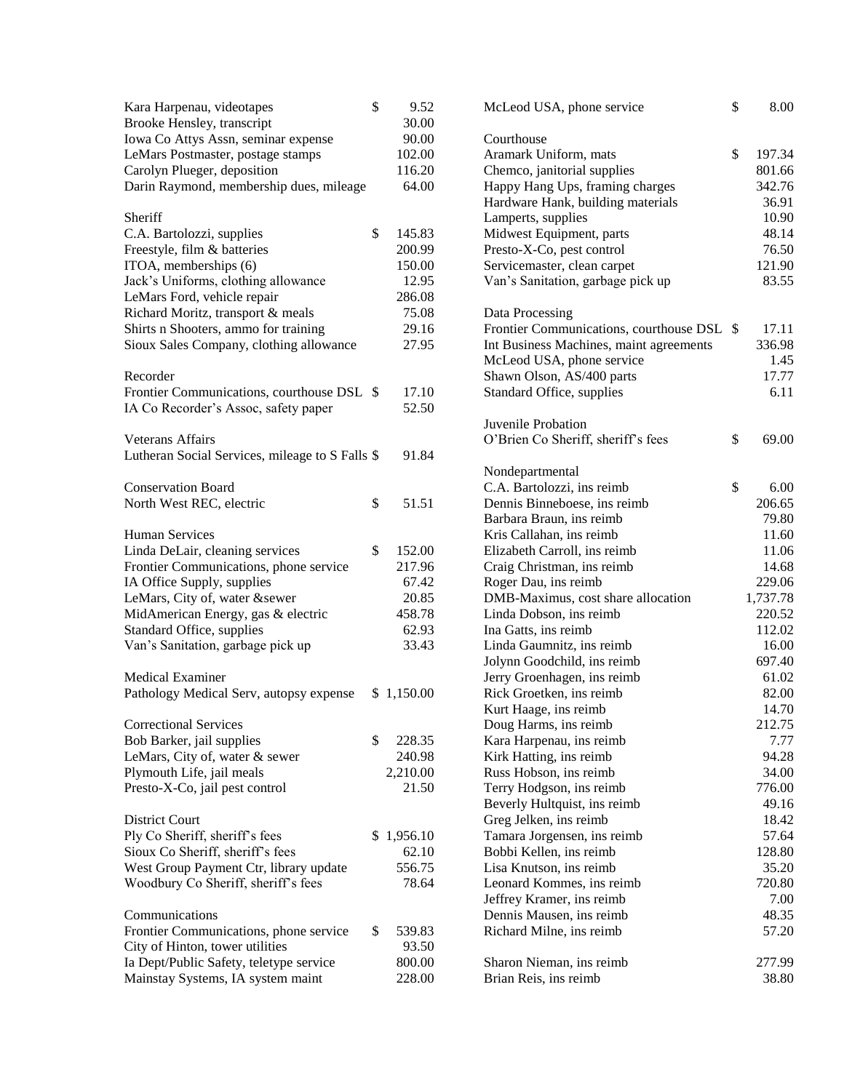| Kara Harpenau, videotapes<br>Brooke Hensley, transcript | \$ | 9.52<br>30.00 | McLe              |
|---------------------------------------------------------|----|---------------|-------------------|
| Iowa Co Attys Assn, seminar expense                     |    | 90.00         | Court             |
| LeMars Postmaster, postage stamps                       |    | 102.00        | Aram              |
| Carolyn Plueger, deposition                             |    | 116.20        | Chem              |
| Darin Raymond, membership dues, mileage                 |    | 64.00         | Happ              |
|                                                         |    |               | Hardy             |
| Sheriff                                                 |    |               | Lamp              |
| C.A. Bartolozzi, supplies                               | \$ | 145.83        | Midw              |
| Freestyle, film & batteries                             |    | 200.99        | Presto            |
| ITOA, memberships (6)                                   |    | 150.00        | Servi             |
| Jack's Uniforms, clothing allowance                     |    | 12.95         | Van's             |
| LeMars Ford, vehicle repair                             |    | 286.08        |                   |
| Richard Moritz, transport & meals                       |    | 75.08         | Data              |
| Shirts n Shooters, ammo for training                    |    | 29.16         | Front             |
| Sioux Sales Company, clothing allowance                 |    | 27.95         | Int Bu            |
|                                                         |    |               | McLe              |
| Recorder                                                |    |               | Shaw              |
|                                                         |    |               | Stand             |
| Frontier Communications, courthouse DSL \$              |    | 17.10         |                   |
| IA Co Recorder's Assoc, safety paper                    |    | 52.50         |                   |
|                                                         |    |               | Juven             |
| <b>Veterans Affairs</b>                                 |    |               | O'Bri             |
| Lutheran Social Services, mileage to S Falls \$         |    | 91.84         |                   |
|                                                         |    |               | Nond              |
| <b>Conservation Board</b>                               |    |               | C.A.              |
| North West REC, electric                                | \$ | 51.51         | Denn              |
|                                                         |    |               | Barba             |
| <b>Human Services</b>                                   |    |               | Kris <sup>(</sup> |
| Linda DeLair, cleaning services                         | \$ | 152.00        | Elizal            |
| Frontier Communications, phone service                  |    | 217.96        | Craig             |
| IA Office Supply, supplies                              |    | 67.42         | Roger             |
| LeMars, City of, water &sewer                           |    | 20.85         | <b>DMB</b>        |
| MidAmerican Energy, gas & electric                      |    | 458.78        | Linda             |
| Standard Office, supplies                               |    | 62.93         | Ina G             |
| Van's Sanitation, garbage pick up                       |    | 33.43         | Linda             |
|                                                         |    |               | Jolyn             |
| <b>Medical Examiner</b>                                 |    |               | Jerry             |
| Pathology Medical Serv, autopsy expense                 | S. | 1,150.00      | Rick              |
|                                                         |    |               | Kurt 1            |
| <b>Correctional Services</b>                            |    |               | Doug              |
| Bob Barker, jail supplies                               | \$ | 228.35        | Kara              |
| LeMars, City of, water & sewer                          |    | 240.98        | Kirk I            |
| Plymouth Life, jail meals                               |    | 2,210.00      | Russ:             |
| Presto-X-Co, jail pest control                          |    | 21.50         | Terry             |
|                                                         |    |               | Bever             |
| District Court                                          |    |               | Greg              |
| Ply Co Sheriff, sheriff's fees                          | \$ | 1,956.10      | Tama              |
| Sioux Co Sheriff, sheriff's fees                        |    | 62.10         | <b>Bobb</b>       |
| West Group Payment Ctr, library update                  |    | 556.75        | Lisa I            |
| Woodbury Co Sheriff, sheriff's fees                     |    | 78.64         | Leona             |
|                                                         |    |               | Jeffre            |
| Communications                                          |    |               | Denn              |
| Frontier Communications, phone service                  | \$ | 539.83        | Richa             |
| City of Hinton, tower utilities                         |    | 93.50         |                   |
| Ia Dept/Public Safety, teletype service                 |    | 800.00        | Sharo             |
| Mainstay Systems, IA system maint                       |    | 228.00        | <b>Brian</b>      |

| 9.52<br>30.00 | McLeod USA, phone service                  | \$<br>8.00   |
|---------------|--------------------------------------------|--------------|
| 90.00         | Courthouse                                 |              |
| 102.00        | Aramark Uniform, mats                      | \$<br>197.34 |
| 116.20        | Chemco, janitorial supplies                | 801.66       |
| 64.00         | Happy Hang Ups, framing charges            | 342.76       |
|               |                                            |              |
|               | Hardware Hank, building materials          | 36.91        |
|               | Lamperts, supplies                         | 10.90        |
| 145.83        | Midwest Equipment, parts                   | 48.14        |
| 200.99        | Presto-X-Co, pest control                  | 76.50        |
| 150.00        | Servicemaster, clean carpet                | 121.90       |
| 12.95         | Van's Sanitation, garbage pick up          | 83.55        |
| 286.08        |                                            |              |
| 75.08         | Data Processing                            |              |
| 29.16         | Frontier Communications, courthouse DSL \$ | 17.11        |
| 27.95         | Int Business Machines, maint agreements    | 336.98       |
|               | McLeod USA, phone service                  | 1.45         |
|               | Shawn Olson, AS/400 parts                  | 17.77        |
| 17.10         | Standard Office, supplies                  | 6.11         |
| 52.50         |                                            |              |
|               | Juvenile Probation                         |              |
|               | O'Brien Co Sheriff, sheriff's fees         | \$<br>69.00  |
| 91.84         |                                            |              |
|               | Nondepartmental                            |              |
|               | C.A. Bartolozzi, ins reimb                 | \$<br>6.00   |
| 51.51         | Dennis Binneboese, ins reimb               | 206.65       |
|               | Barbara Braun, ins reimb                   | 79.80        |
|               | Kris Callahan, ins reimb                   | 11.60        |
| 152.00        | Elizabeth Carroll, ins reimb               | 11.06        |
| 217.96        | Craig Christman, ins reimb                 | 14.68        |
| 67.42         | Roger Dau, ins reimb                       | 229.06       |
| 20.85         | DMB-Maximus, cost share allocation         | 1,737.78     |
| 458.78        | Linda Dobson, ins reimb                    | 220.52       |
| 62.93         | Ina Gatts, ins reimb                       | 112.02       |
| 33.43         | Linda Gaumnitz, ins reimb                  | 16.00        |
|               | Jolynn Goodchild, ins reimb                | 697.40       |
|               | Jerry Groenhagen, ins reimb                | 61.02        |
| ,150.00       | Rick Groetken, ins reimb                   | 82.00        |
|               | Kurt Haage, ins reimb                      | 14.70        |
|               | Doug Harms, ins reimb                      | 212.75       |
| 228.35        | Kara Harpenau, ins reimb                   | 7.77         |
| 240.98        | Kirk Hatting, ins reimb                    | 94.28        |
| ,210.00       | Russ Hobson, ins reimb                     | 34.00        |
| 21.50         | Terry Hodgson, ins reimb                   | 776.00       |
|               | Beverly Hultquist, ins reimb               | 49.16        |
|               | Greg Jelken, ins reimb                     | 18.42        |
| 956.10        | Tamara Jorgensen, ins reimb                | 57.64        |
| 62.10         | Bobbi Kellen, ins reimb                    | 128.80       |
| 556.75        | Lisa Knutson, ins reimb                    | 35.20        |
| 78.64         | Leonard Kommes, ins reimb                  | 720.80       |
|               | Jeffrey Kramer, ins reimb                  | 7.00         |
|               | Dennis Mausen, ins reimb                   | 48.35        |
| 539.83        | Richard Milne, ins reimb                   | 57.20        |
| 93.50         |                                            |              |
| 800.00        | Sharon Nieman, ins reimb                   | 277.99       |
| 228.00        | Brian Reis, ins reimb                      | 38.80        |
|               |                                            |              |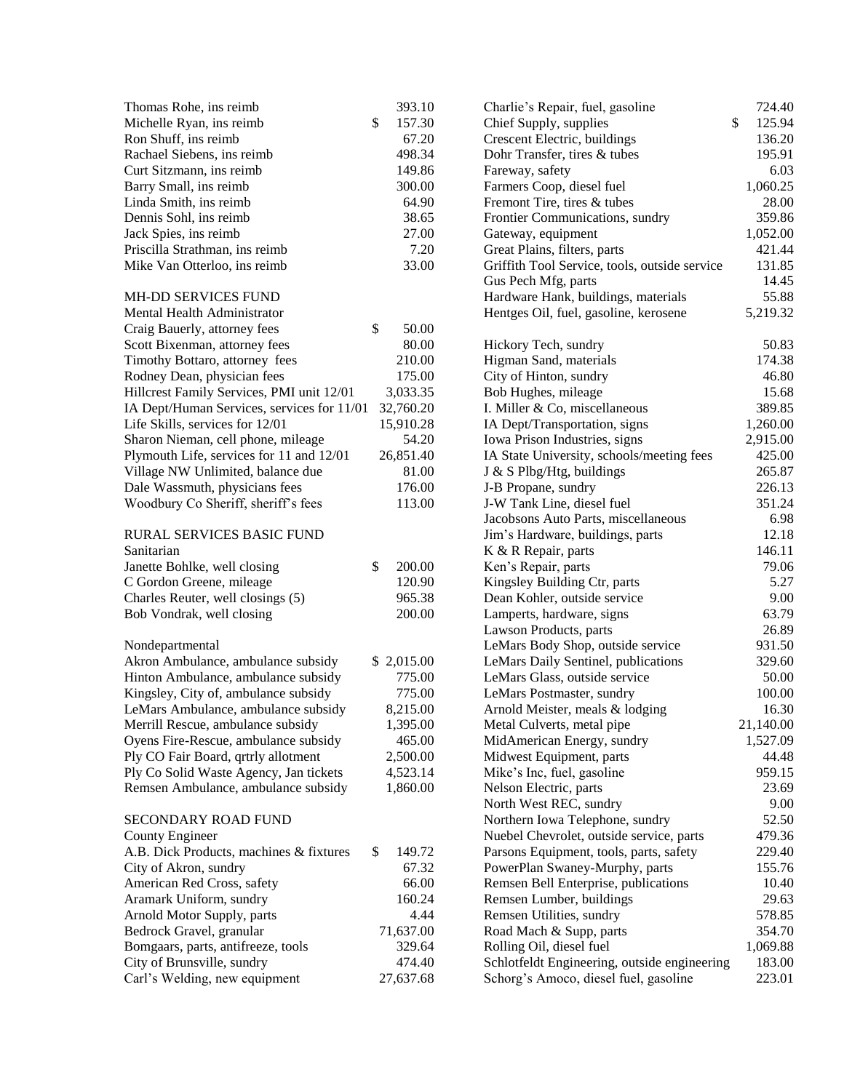| Thomas Rohe, ins reimb                     | 393.10       |
|--------------------------------------------|--------------|
| Michelle Ryan, ins reimb                   | \$<br>157.30 |
| Ron Shuff, ins reimb                       | 67.20        |
| Rachael Siebens, ins reimb                 | 498.34       |
| Curt Sitzmann, ins reimb                   | 149.86       |
| Barry Small, ins reimb                     | 300.00       |
| Linda Smith, ins reimb                     | 64.90        |
| Dennis Sohl, ins reimb                     | 38.65        |
| Jack Spies, ins reimb                      | 27.00        |
| Priscilla Strathman, ins reimb             | 7.20         |
| Mike Van Otterloo, ins reimb               | 33.00        |
|                                            |              |
| MH-DD SERVICES FUND                        |              |
| Mental Health Administrator                |              |
| Craig Bauerly, attorney fees               | \$<br>50.00  |
| Scott Bixenman, attorney fees              | 80.00        |
| Timothy Bottaro, attorney fees             | 210.00       |
| Rodney Dean, physician fees                | 175.00       |
| Hillcrest Family Services, PMI unit 12/01  | 3,033.35     |
|                                            |              |
| IA Dept/Human Services, services for 11/01 | 32,760.20    |
| Life Skills, services for 12/01            | 15,910.28    |
| Sharon Nieman, cell phone, mileage         | 54.20        |
| Plymouth Life, services for 11 and 12/01   | 26,851.40    |
| Village NW Unlimited, balance due          | 81.00        |
| Dale Wassmuth, physicians fees             | 176.00       |
| Woodbury Co Sheriff, sheriff's fees        | 113.00       |
|                                            |              |
| RURAL SERVICES BASIC FUND                  |              |
| Sanitarian                                 |              |
| Janette Bohlke, well closing               | \$<br>200.00 |
| C Gordon Greene, mileage                   | 120.90       |
| Charles Reuter, well closings (5)          | 965.38       |
| Bob Vondrak, well closing                  | 200.00       |
|                                            |              |
| Nondepartmental                            |              |
| Akron Ambulance, ambulance subsidy         | \$ 2,015.00  |
| Hinton Ambulance, ambulance subsidy        | 775.00       |
| Kingsley, City of, ambulance subsidy       | 775.00       |
| LeMars Ambulance, ambulance subsidy        | 8,215.00     |
| Merrill Rescue, ambulance subsidy          | 1,395.00     |
| Oyens Fire-Rescue, ambulance subsidy       | 465.00       |
| Ply CO Fair Board, qrtrly allotment        | 2,500.00     |
| Ply Co Solid Waste Agency, Jan tickets     | 4,523.14     |
| Remsen Ambulance, ambulance subsidy        | 1,860.00     |
| <b>SECONDARY ROAD FUND</b>                 |              |
|                                            |              |
| <b>County Engineer</b>                     |              |
| A.B. Dick Products, machines & fixtures    | \$<br>149.72 |
| City of Akron, sundry                      | 67.32        |
| American Red Cross, safety                 | 66.00        |
| Aramark Uniform, sundry                    | 160.24       |
| Arnold Motor Supply, parts                 | 4.44         |
| Bedrock Gravel, granular                   | 71,637.00    |
| Bomgaars, parts, antifreeze, tools         | 329.64       |
| City of Brunsville, sundry                 | 474.40       |
| Carl's Welding, new equipment              | 27,637.68    |

| Charlie's Repair, fuel, gasoline              | 724.40       |
|-----------------------------------------------|--------------|
| Chief Supply, supplies                        | \$<br>125.94 |
| Crescent Electric, buildings                  | 136.20       |
| Dohr Transfer, tires & tubes                  | 195.91       |
| Fareway, safety                               | 6.03         |
| Farmers Coop, diesel fuel                     | 1,060.25     |
| Fremont Tire, tires & tubes                   | 28.00        |
| Frontier Communications, sundry               | 359.86       |
| Gateway, equipment                            | 1,052.00     |
| Great Plains, filters, parts                  | 421.44       |
| Griffith Tool Service, tools, outside service | 131.85       |
| Gus Pech Mfg, parts                           | 14.45        |
| Hardware Hank, buildings, materials           | 55.88        |
| Hentges Oil, fuel, gasoline, kerosene         | 5,219.32     |
| Hickory Tech, sundry                          | 50.83        |
| Higman Sand, materials                        | 174.38       |
| City of Hinton, sundry                        | 46.80        |
| Bob Hughes, mileage                           | 15.68        |
| I. Miller & Co, miscellaneous                 | 389.85       |
| IA Dept/Transportation, signs                 | 1,260.00     |
| Iowa Prison Industries, signs                 | 2,915.00     |
| IA State University, schools/meeting fees     | 425.00       |
| J & S Plbg/Htg, buildings                     | 265.87       |
| J-B Propane, sundry                           | 226.13       |
| J-W Tank Line, diesel fuel                    | 351.24       |
| Jacobsons Auto Parts, miscellaneous           | 6.98         |
| Jim's Hardware, buildings, parts              | 12.18        |
| K & R Repair, parts                           | 146.11       |
| Ken's Repair, parts                           | 79.06        |
| Kingsley Building Ctr, parts                  | 5.27         |
| Dean Kohler, outside service                  | 9.00         |
| Lamperts, hardware, signs                     | 63.79        |
| Lawson Products, parts                        | 26.89        |
| LeMars Body Shop, outside service             | 931.50       |
| LeMars Daily Sentinel, publications           | 329.60       |
| LeMars Glass, outside service                 | 50.00        |
| LeMars Postmaster, sundry                     | 100.00       |
| Arnold Meister, meals & lodging               | 16.30        |
| Metal Culverts, metal pipe                    | 21,140.00    |
| MidAmerican Energy, sundry                    | 1,527.09     |
| Midwest Equipment, parts                      | 44.48        |
| Mike's Inc, fuel, gasoline                    | 959.15       |
| Nelson Electric, parts                        | 23.69        |
| North West REC, sundry                        | 9.00         |
| Northern Iowa Telephone, sundry               | 52.50        |
| Nuebel Chevrolet, outside service, parts      | 479.36       |
| Parsons Equipment, tools, parts, safety       | 229.40       |
| PowerPlan Swaney-Murphy, parts                | 155.76       |
| Remsen Bell Enterprise, publications          | 10.40        |
| Remsen Lumber, buildings                      | 29.63        |
| Remsen Utilities, sundry                      | 578.85       |
| Road Mach & Supp, parts                       | 354.70       |
| Rolling Oil, diesel fuel                      | 1,069.88     |
| Schlotfeldt Engineering, outside engineering  | 183.00       |
| Schorg's Amoco, diesel fuel, gasoline         | 223.01       |
|                                               |              |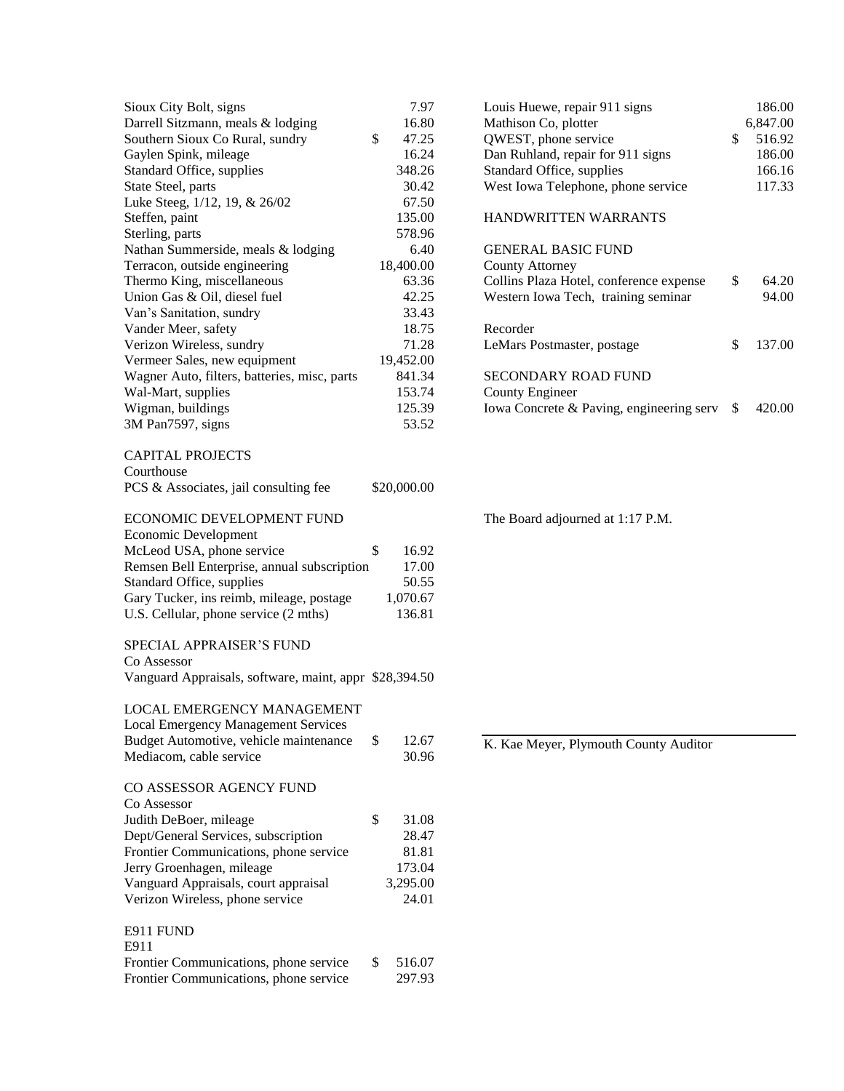| Sioux City Bolt, signs                                 | 7.97         |
|--------------------------------------------------------|--------------|
| Darrell Sitzmann, meals & lodging                      | 16.80        |
| Southern Sioux Co Rural, sundry                        | \$<br>47.25  |
| Gaylen Spink, mileage                                  | 16.24        |
| Standard Office, supplies                              | 348.26       |
| State Steel, parts                                     | 30.42        |
| Luke Steeg, 1/12, 19, & 26/02                          | 67.50        |
| Steffen, paint                                         | 135.00       |
| Sterling, parts                                        | 578.96       |
| Nathan Summerside, meals & lodging                     | 6.40         |
| Terracon, outside engineering                          | 18,400.00    |
| Thermo King, miscellaneous                             | 63.36        |
| Union Gas & Oil, diesel fuel                           | 42.25        |
| Van's Sanitation, sundry                               | 33.43        |
|                                                        | 18.75        |
| Vander Meer, safety                                    |              |
| Verizon Wireless, sundry                               | 71.28        |
| Vermeer Sales, new equipment                           | 19,452.00    |
| Wagner Auto, filters, batteries, misc, parts           | 841.34       |
| Wal-Mart, supplies                                     | 153.74       |
| Wigman, buildings                                      | 125.39       |
| 3M Pan7597, signs                                      | 53.52        |
| <b>CAPITAL PROJECTS</b>                                |              |
| Courthouse                                             |              |
| PCS & Associates, jail consulting fee                  | \$20,000.00  |
| <b>ECONOMIC DEVELOPMENT FUND</b>                       |              |
|                                                        |              |
| Economic Development                                   |              |
| McLeod USA, phone service                              | \$<br>16.92  |
| Remsen Bell Enterprise, annual subscription            | 17.00        |
| Standard Office, supplies                              | 50.55        |
| Gary Tucker, ins reimb, mileage, postage               | 1,070.67     |
| U.S. Cellular, phone service (2 mths)                  | 136.81       |
| <b>SPECIAL APPRAISER'S FUND</b>                        |              |
| Co Assessor                                            |              |
| Vanguard Appraisals, software, maint, appr \$28,394.50 |              |
| LOCAL EMERGENCY MANAGEMENT                             |              |
|                                                        |              |
| <b>Local Emergency Management Services</b>             |              |
| Budget Automotive, vehicle maintenance                 | \$<br>12.67  |
| Mediacom, cable service                                | 30.96        |
| CO ASSESSOR AGENCY FUND                                |              |
| Co Assessor                                            |              |
| Judith DeBoer, mileage                                 | \$<br>31.08  |
| Dept/General Services, subscription                    | 28.47        |
| Frontier Communications, phone service                 | 81.81        |
| Jerry Groenhagen, mileage                              | 173.04       |
| Vanguard Appraisals, court appraisal                   | 3,295.00     |
| Verizon Wireless, phone service                        | 24.01        |
|                                                        |              |
| E911 FUND<br>E911                                      |              |
| Frontier Communications, phone service                 | \$<br>516.07 |
| Frontier Communications, phone service                 | 297.93       |
|                                                        |              |

| Louis Huewe, repair 911 signs            | 186.00       |
|------------------------------------------|--------------|
| Mathison Co, plotter                     | 6,847.00     |
| QWEST, phone service                     | \$<br>516.92 |
| Dan Ruhland, repair for 911 signs        | 186.00       |
| Standard Office, supplies                | 166.16       |
| West Iowa Telephone, phone service       | 117.33       |
| <b>HANDWRITTEN WARRANTS</b>              |              |
| <b>GENERAL BASIC FUND</b>                |              |
| County Attorney                          |              |
| Collins Plaza Hotel, conference expense  | \$<br>64.20  |
| Western Iowa Tech, training seminar      | 94.00        |
|                                          |              |
| Recorder                                 |              |
| LeMars Postmaster, postage               | \$<br>137.00 |
|                                          |              |
| SECONDARY ROAD FUND                      |              |
| County Engineer                          |              |
| Iowa Concrete & Paving, engineering serv | \$<br>420.00 |
|                                          |              |

The Board adjourned at 1:17 P.M.

K. Kae Meyer, Plymouth County Auditor